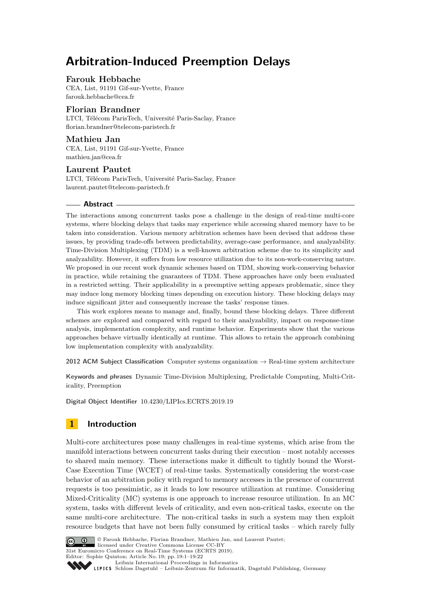# **Arbitration-Induced Preemption Delays**

# **Farouk Hebbache**

CEA, List, 91191 Gif-sur-Yvette, France [farouk.hebbache@cea.fr](mailto:farouk.hebbache@cea.fr)

# **Florian Brandner**

LTCI, Télécom ParisTech, Université Paris-Saclay, France [florian.brandner@telecom-paristech.fr](mailto:florian.brandner@telecom-paristech.fr)

## **Mathieu Jan**

CEA, List, 91191 Gif-sur-Yvette, France [mathieu.jan@cea.fr](mailto:mathieu.jan@cea.fr)

# **Laurent Pautet**

LTCI, Télécom ParisTech, Université Paris-Saclay, France [laurent.pautet@telecom-paristech.fr](mailto:laurent.pautet@telecom-paristech.fr)

## **Abstract**

The interactions among concurrent tasks pose a challenge in the design of real-time multi-core systems, where blocking delays that tasks may experience while accessing shared memory have to be taken into consideration. Various memory arbitration schemes have been devised that address these issues, by providing trade-offs between predictability, average-case performance, and analyzability. Time-Division Multiplexing (TDM) is a well-known arbitration scheme due to its simplicity and analyzability. However, it suffers from low resource utilization due to its non-work-conserving nature. We proposed in our recent work dynamic schemes based on TDM, showing work-conserving behavior in practice, while retaining the guarantees of TDM. These approaches have only been evaluated in a restricted setting. Their applicability in a preemptive setting appears problematic, since they may induce long memory blocking times depending on execution history. These blocking delays may induce significant jitter and consequently increase the tasks' response times.

This work explores means to manage and, finally, bound these blocking delays. Three different schemes are explored and compared with regard to their analyzability, impact on response-time analysis, implementation complexity, and runtime behavior. Experiments show that the various approaches behave virtually identically at runtime. This allows to retain the approach combining low implementation complexity with analyzability.

**2012 ACM Subject Classification** Computer systems organization  $\rightarrow$  Real-time system architecture

**Keywords and phrases** Dynamic Time-Division Multiplexing, Predictable Computing, Multi-Criticality, Preemption

**Digital Object Identifier** [10.4230/LIPIcs.ECRTS.2019.19](https://doi.org/10.4230/LIPIcs.ECRTS.2019.19)

# **1 Introduction**

Multi-core architectures pose many challenges in real-time systems, which arise from the manifold interactions between concurrent tasks during their execution – most notably accesses to shared main memory. These interactions make it difficult to tightly bound the Worst-Case Execution Time (WCET) of real-time tasks. Systematically considering the worst-case behavior of an arbitration policy with regard to memory accesses in the presence of concurrent requests is too pessimistic, as it leads to low resource utilization at runtime. Considering Mixed-Criticality (MC) systems is one approach to increase resource utilization. In an MC system, tasks with different levels of criticality, and even non-critical tasks, execute on the same multi-core architecture. The non-critical tasks in such a system may then exploit resource budgets that have not been fully consumed by critical tasks – which rarely fully



© Farouk Hebbache, Florian Brandner, Mathieu Jan, and Laurent Pautet;

licensed under Creative Commons License CC-BY

31st Euromicro Conference on Real-Time Systems (ECRTS 2019).

Editor: Sophie Quinton; Article No. 19; pp. 19:1–19[:22](#page-21-0) [Leibniz International Proceedings in Informatics](https://www.dagstuhl.de/lipics/)

[Schloss Dagstuhl – Leibniz-Zentrum für Informatik, Dagstuhl Publishing, Germany](https://www.dagstuhl.de)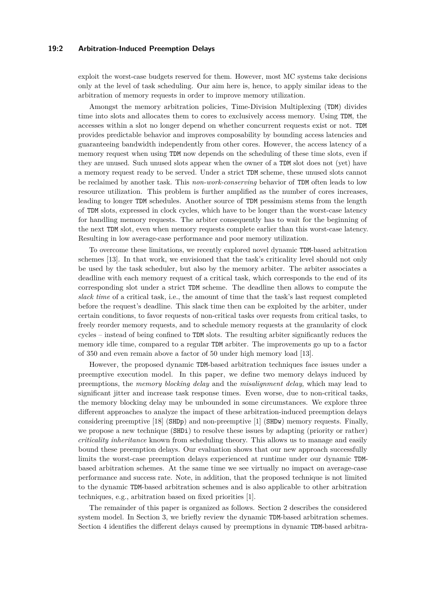## **19:2 Arbitration-Induced Preemption Delays**

exploit the worst-case budgets reserved for them. However, most MC systems take decisions only at the level of task scheduling. Our aim here is, hence, to apply similar ideas to the arbitration of memory requests in order to improve memory utilization.

Amongst the memory arbitration policies, Time-Division Multiplexing (TDM) divides time into slots and allocates them to cores to exclusively access memory. Using TDM, the accesses within a slot no longer depend on whether concurrent requests exist or not. TDM provides predictable behavior and improves composability by bounding access latencies and guaranteeing bandwidth independently from other cores. However, the access latency of a memory request when using TDM now depends on the scheduling of these time slots, even if they are unused. Such unused slots appear when the owner of a TDM slot does not (yet) have a memory request ready to be served. Under a strict TDM scheme, these unused slots cannot be reclaimed by another task. This *non-work-conserving* behavior of TDM often leads to low resource utilization. This problem is further amplified as the number of cores increases, leading to longer TDM schedules. Another source of TDM pessimism stems from the length of TDM slots, expressed in clock cycles, which have to be longer than the worst-case latency for handling memory requests. The arbiter consequently has to wait for the beginning of the next TDM slot, even when memory requests complete earlier than this worst-case latency. Resulting in low average-case performance and poor memory utilization.

To overcome these limitations, we recently explored novel dynamic TDM-based arbitration schemes [\[13\]](#page-20-0). In that work, we envisioned that the task's criticality level should not only be used by the task scheduler, but also by the memory arbiter. The arbiter associates a deadline with each memory request of a critical task, which corresponds to the end of its corresponding slot under a strict TDM scheme. The deadline then allows to compute the *slack time* of a critical task, i.e., the amount of time that the task's last request completed before the request's deadline. This slack time then can be exploited by the arbiter, under certain conditions, to favor requests of non-critical tasks over requests from critical tasks, to freely reorder memory requests, and to schedule memory requests at the granularity of clock cycles – instead of being confined to TDM slots. The resulting arbiter significantly reduces the memory idle time, compared to a regular TDM arbiter. The improvements go up to a factor of 350 and even remain above a factor of 50 under high memory load [\[13\]](#page-20-0).

However, the proposed dynamic TDM-based arbitration techniques face issues under a preemptive execution model. In this paper, we define two memory delays induced by preemptions, the *memory blocking delay* and the *misalignment delay*, which may lead to significant jitter and increase task response times. Even worse, due to non-critical tasks, the memory blocking delay may be unbounded in some circumstances. We explore three different approaches to analyze the impact of these arbitration-induced preemption delays considering preemptive  $[18]$  (SHDp) and non-preemptive  $[1]$  (SHDw) memory requests. Finally, we propose a new technique (SHDi) to resolve these issues by adapting (priority or rather) *criticality inheritance* known from scheduling theory. This allows us to manage and easily bound these preemption delays. Our evaluation shows that our new approach successfully limits the worst-case preemption delays experienced at runtime under our dynamic TDMbased arbitration schemes. At the same time we see virtually no impact on average-case performance and success rate. Note, in addition, that the proposed technique is not limited to the dynamic TDM-based arbitration schemes and is also applicable to other arbitration techniques, e.g., arbitration based on fixed priorities [\[1\]](#page-20-1).

The remainder of this paper is organized as follows. Section [2](#page-2-0) describes the considered system model. In Section [3,](#page-3-0) we briefly review the dynamic TDM-based arbitration schemes. Section [4](#page-6-0) identifies the different delays caused by preemptions in dynamic TDM-based arbitra-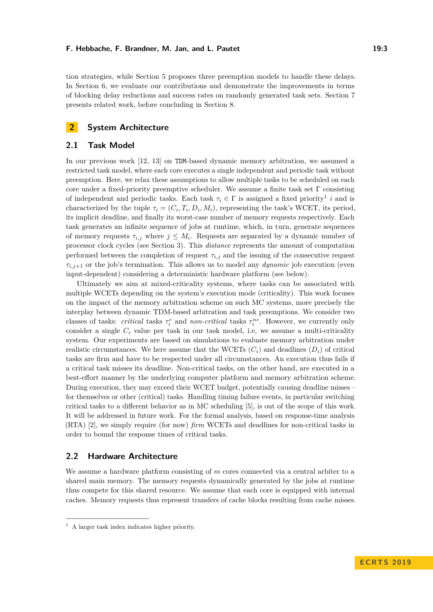#### **F. Hebbache, F. Brandner, M. Jan, and L. Pautet 19:3** 19:3

tion strategies, while Section [5](#page-8-0) proposes three preemption models to handle these delays. In Section [6,](#page-13-0) we evaluate our contributions and demonstrate the improvements in terms of blocking delay reductions and success rates on randomly generated task sets. Section [7](#page-18-0) presents related work, before concluding in Section [8.](#page-19-0)

# <span id="page-2-0"></span>**2 System Architecture**

## **2.1 Task Model**

In our previous work [\[12,](#page-20-2) [13\]](#page-20-0) on TDM-based dynamic memory arbitration, we assumed a restricted task model, where each core executes a single independent and periodic task without preemption. Here, we relax these assumptions to allow multiple tasks to be scheduled on each core under a fixed-priority preemptive scheduler. We assume a finite task set Γ consisting of independent and periodic tasks. Each task  $\tau_i \in \Gamma$  is assigned a fixed priority<sup>[1](#page-2-1)</sup> *i* and is characterized by the tuple  $\tau_i = (C_i, T_i, D_i, M_i)$ , representing the task's WCET, its period, its implicit deadline, and finally its worst-case number of memory requests respectively. Each task generates an infinite sequence of jobs at runtime, which, in turn, generate sequences of memory requests  $\tau_{i,j}$  where  $j \leq M_i$ . Requests are separated by a dynamic number of processor clock cycles (see Section [3\)](#page-3-0). This *distance* represents the amount of computation performed between the completion of request  $\tau_{i,j}$  and the issuing of the consecutive request  $\tau_{i,j+1}$  or the job's termination. This allows us to model any *dynamic* job execution (even input-dependent) considering a deterministic hardware platform (see below).

Ultimately we aim at mixed-criticality systems, where tasks can be associated with multiple WCETs depending on the system's execution mode (criticality). This work focuses on the impact of the memory arbitration scheme on such MC systems, more precisely the interplay between dynamic TDM-based arbitration and task preemptions. We consider two classes of tasks: *critical* tasks  $\tau_i^c$  and *non-critical* tasks  $\tau_i^{nc}$ . However, we currently only consider a single  $C_i$  value per task in our task model, i.e, we assume a multi-criticality system. Our experiments are based on simulations to evaluate memory arbitration under realistic circumstances. We here assume that the WCETs  $(C_i)$  and deadlines  $(D_i)$  of critical tasks are firm and have to be respected under all circumstances. An execution thus fails if a critical task misses its deadline. Non-critical tasks, on the other hand, are executed in a best-effort manner by the underlying computer platform and memory arbitration scheme. During execution, they may exceed their WCET budget, potentially causing deadline misses – for themselves or other (critical) tasks. Handling timing failure events, in particular switching critical tasks to a different behavior as in MC scheduling [\[5\]](#page-20-3), is out of the scope of this work. It will be addressed in future work. For the formal analysis, based on response-time analysis (RTA) [\[2\]](#page-20-4), we simply require (for now) *firm* WCETs and deadlines for non-critical tasks in order to bound the response times of critical tasks.

# **2.2 Hardware Architecture**

We assume a hardware platform consisting of *m* cores connected via a central arbiter to a shared main memory. The memory requests dynamically generated by the jobs at runtime thus compete for this shared resource. We assume that each core is equipped with internal caches. Memory requests thus represent transfers of cache blocks resulting from cache misses.

<span id="page-2-1"></span> $<sup>1</sup>$  A larger task index indicates higher priority.</sup>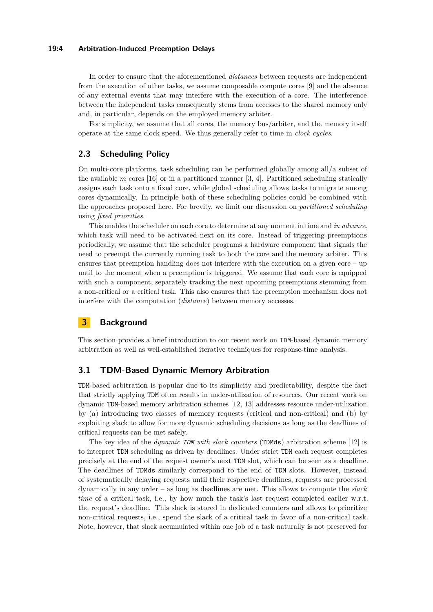### **19:4 Arbitration-Induced Preemption Delays**

In order to ensure that the aforementioned *distances* between requests are independent from the execution of other tasks, we assume composable compute cores [\[9\]](#page-20-5) and the absence of any external events that may interfere with the execution of a core. The interference between the independent tasks consequently stems from accesses to the shared memory only and, in particular, depends on the employed memory arbiter.

For simplicity, we assume that all cores, the memory bus/arbiter, and the memory itself operate at the same clock speed. We thus generally refer to time in *clock cycles*.

# <span id="page-3-1"></span>**2.3 Scheduling Policy**

On multi-core platforms, task scheduling can be performed globally among all/a subset of the available  $m$  cores [\[16\]](#page-21-2) or in a partitioned manner [\[3,](#page-20-6) [4\]](#page-20-7). Partitioned scheduling statically assigns each task onto a fixed core, while global scheduling allows tasks to migrate among cores dynamically. In principle both of these scheduling policies could be combined with the approaches proposed here. For brevity, we limit our discussion on *partitioned scheduling* using *fixed priorities*.

This enables the scheduler on each core to determine at any moment in time and *in advance*, which task will need to be activated next on its core. Instead of triggering preemptions periodically, we assume that the scheduler programs a hardware component that signals the need to preempt the currently running task to both the core and the memory arbiter. This ensures that preemption handling does not interfere with the execution on a given core – up until to the moment when a preemption is triggered. We assume that each core is equipped with such a component, separately tracking the next upcoming preemptions stemming from a non-critical or a critical task. This also ensures that the preemption mechanism does not interfere with the computation (*distance*) between memory accesses.

# <span id="page-3-0"></span>**3 Background**

This section provides a brief introduction to our recent work on TDM-based dynamic memory arbitration as well as well-established iterative techniques for response-time analysis.

## **3.1 TDM-Based Dynamic Memory Arbitration**

TDM-based arbitration is popular due to its simplicity and predictability, despite the fact that strictly applying TDM often results in under-utilization of resources. Our recent work on dynamic TDM-based memory arbitration schemes [\[12,](#page-20-2) [13\]](#page-20-0) addresses resource under-utilization by (a) introducing two classes of memory requests (critical and non-critical) and (b) by exploiting slack to allow for more dynamic scheduling decisions as long as the deadlines of critical requests can be met safely.

The key idea of the *dynamic TDM with slack counters* (TDMds) arbitration scheme [\[12\]](#page-20-2) is to interpret TDM scheduling as driven by deadlines. Under strict TDM each request completes precisely at the end of the request owner's next TDM slot, which can be seen as a deadline. The deadlines of TDMds similarly correspond to the end of TDM slots. However, instead of systematically delaying requests until their respective deadlines, requests are processed dynamically in any order – as long as deadlines are met. This allows to compute the *slack time* of a critical task, i.e., by how much the task's last request completed earlier w.r.t. the request's deadline. This slack is stored in dedicated counters and allows to prioritize non-critical requests, i.e., spend the slack of a critical task in favor of a non-critical task. Note, however, that slack accumulated within one job of a task naturally is not preserved for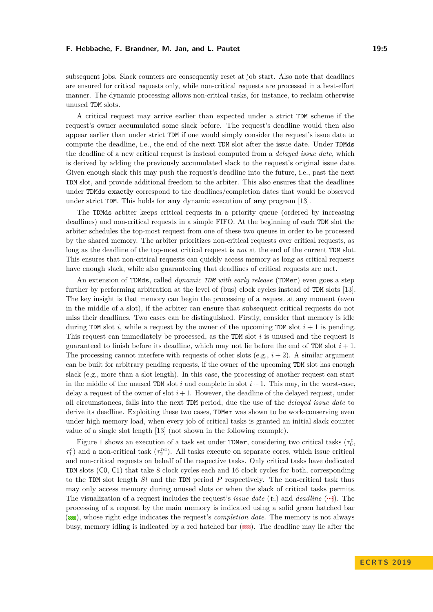#### **F. Hebbache, F. Brandner, M. Jan, and L. Pautet 19:5** 19:5

subsequent jobs. Slack counters are consequently reset at job start. Also note that deadlines are ensured for critical requests only, while non-critical requests are processed in a best-effort manner. The dynamic processing allows non-critical tasks, for instance, to reclaim otherwise unused TDM slots.

A critical request may arrive earlier than expected under a strict TDM scheme if the request's owner accumulated some slack before. The request's deadline would then also appear earlier than under strict TDM if one would simply consider the request's issue date to compute the deadline, i.e., the end of the next TDM slot after the issue date. Under TDMds the deadline of a new critical request is instead computed from a *delayed issue date*, which is derived by adding the previously accumulated slack to the request's original issue date. Given enough slack this may push the request's deadline into the future, i.e., past the next TDM slot, and provide additional freedom to the arbiter. This also ensures that the deadlines under TDMds **exactly** correspond to the deadlines/completion dates that would be observed under strict TDM. This holds for **any** dynamic execution of **any** program [\[13\]](#page-20-0).

The TDMds arbiter keeps critical requests in a priority queue (ordered by increasing deadlines) and non-critical requests in a simple FIFO. At the beginning of each TDM slot the arbiter schedules the top-most request from one of these two queues in order to be processed by the shared memory. The arbiter prioritizes non-critical requests over critical requests, as long as the deadline of the top-most critical request is *not* at the end of the current TDM slot. This ensures that non-critical requests can quickly access memory as long as critical requests have enough slack, while also guaranteeing that deadlines of critical requests are met.

An extension of TDMds, called *dynamic TDM with early release* (TDMer) even goes a step further by performing arbitration at the level of (bus) clock cycles instead of TDM slots [\[13\]](#page-20-0). The key insight is that memory can begin the processing of a request at any moment (even in the middle of a slot), if the arbiter can ensure that subsequent critical requests do not miss their deadlines. Two cases can be distinguished. Firstly, consider that memory is idle during TDM slot  $i$ , while a request by the owner of the upcoming TDM slot  $i + 1$  is pending. This request can immediately be processed, as the TDM slot *i* is unused and the request is guaranteed to finish before its deadline, which may not lie before the end of  $TDM$  slot  $i + 1$ . The processing cannot interfere with requests of other slots (e.g.,  $i + 2$ ). A similar argument can be built for arbitrary pending requests, if the owner of the upcoming TDM slot has enough slack (e.g., more than a slot length). In this case, the processing of another request can start in the middle of the unused TDM slot  $i$  and complete in slot  $i + 1$ . This may, in the worst-case, delay a request of the owner of slot  $i+1$ . However, the deadline of the delayed request, under all circumstances, falls into the next TDM period, due the use of the *delayed issue date* to derive its deadline. Exploiting these two cases, TDMer was shown to be work-conserving even under high memory load, when every job of critical tasks is granted an initial slack counter value of a single slot length [\[13\]](#page-20-0) (not shown in the following example).

Figure [1](#page-5-0) shows an execution of a task set under TDMer, considering two critical tasks  $(\tau_0^c,$  $\tau_1^c$ ) and a non-critical task ( $\tau_2^{nc}$ ). All tasks execute on separate cores, which issue critical and non-critical requests on behalf of the respective tasks. Only critical tasks have dedicated TDM slots (C0, C1) that take 8 clock cycles each and 16 clock cycles for both, corresponding to the TDM slot length *Sl* and the TDM period *P* respectively. The non-critical task thus may only access memory during unused slots or when the slack of critical tasks permits. The visualization of a request includes the request's *issue date*  $(\uparrow)$  and *deadline*  $(\lnot)$ . The processing of a request by the main memory is indicated using a solid green hatched bar (**NSE**), whose right edge indicates the request's *completion date*. The memory is not always busy, memory idling is indicated by a red hatched bar  $(W<sub>A</sub>)$ . The deadline may lie after the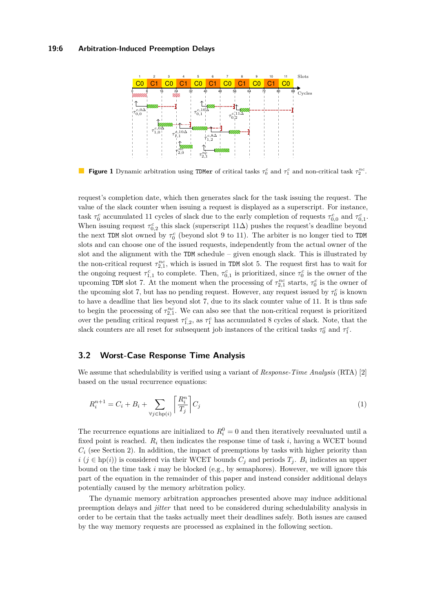## <span id="page-5-0"></span>**19:6 Arbitration-Induced Preemption Delays**



**Figure 1** Dynamic arbitration using TDMer of critical tasks  $\tau_0^c$  and  $\tau_1^c$  and non-critical task  $\tau_2^{nc}$ .

request's completion date, which then generates slack for the task issuing the request. The value of the slack counter when issuing a request is displayed as a superscript. For instance, task  $\tau_0^c$  accumulated 11 cycles of slack due to the early completion of requests  $\tau_{0,0}^c$  and  $\tau_{0,1}^c$ . When issuing request  $\tau_{0,2}^c$  this slack (superscript 11∆) pushes the request's deadline beyond the next TDM slot owned by  $\tau_0^c$  (beyond slot 9 to 11). The arbiter is no longer tied to TDM slots and can choose one of the issued requests, independently from the actual owner of the slot and the alignment with the  $TDM$  schedule – given enough slack. This is illustrated by the non-critical request  $\tau_{2,1}^{nc}$ , which is issued in TDM slot 5. The request first has to wait for the ongoing request  $\tau_{1,1}^c$  to complete. Then,  $\tau_{0,1}^c$  is prioritized, since  $\tau_0^c$  is the owner of the upcoming TDM slot 7. At the moment when the processing of  $\tau_{2,1}^{nc}$  starts,  $\tau_0^c$  is the owner of the upcoming slot 7, but has no pending request. However, any request issued by  $\tau_0^c$  is known to have a deadline that lies beyond slot 7, due to its slack counter value of 11. It is thus safe to begin the processing of  $\tau_{2,1}^{nc}$ . We can also see that the non-critical request is prioritized over the pending critical request  $\tau_{1,2}^c$ , as  $\tau_1^c$  has accumulated 8 cycles of slack. Note, that the slack counters are all reset for subsequent job instances of the critical tasks  $\tau_0^c$  and  $\tau_1^c$ .

# **3.2 Worst-Case Response Time Analysis**

We assume that schedulability is verified using a variant of *Response-Time Analysis* (RTA) [\[2\]](#page-20-4) based on the usual recurrence equations:

$$
R_i^{n+1} = C_i + B_i + \sum_{\forall j \in \text{hp}(i)} \left[ \frac{R_i^n}{T_j} \right] C_j \tag{1}
$$

The recurrence equations are initialized to  $R_i^0 = 0$  and then iteratively reevaluated until a fixed point is reached.  $R_i$  then indicates the response time of task  $i$ , having a WCET bound  $C_i$  (see Section [2\)](#page-2-0). In addition, the impact of preemptions by tasks with higher priority than *i* (*j* ∈ hp(*i*)) is considered via their WCET bounds  $C_j$  and periods  $T_j$ .  $B_i$  indicates an upper bound on the time task *i* may be blocked (e.g., by semaphores). However, we will ignore this part of the equation in the remainder of this paper and instead consider additional delays potentially caused by the memory arbitration policy.

The dynamic memory arbitration approaches presented above may induce additional preemption delays and *jitter* that need to be considered during schedulability analysis in order to be certain that the tasks actually meet their deadlines safely. Both issues are caused by the way memory requests are processed as explained in the following section.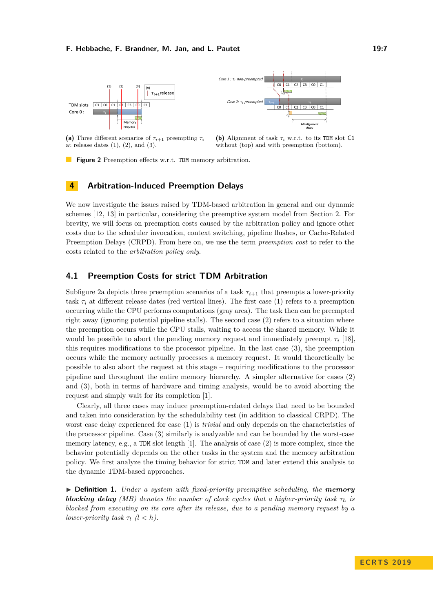#### **F. Hebbache, F. Brandner, M. Jan, and L. Pautet 19:7** 19:7

<span id="page-6-1"></span>



**(a)** Three different scenarios of  $\tau_{i+1}$  preempting  $\tau_i$ at release dates  $(1), (2),$  and  $(3)$ .

(b) Alignment of task  $\tau_i$  w.r.t. to its TDM slot C1 without (top) and with preemption (bottom).

**Figure 2** Preemption effects w.r.t. TDM memory arbitration.

# <span id="page-6-0"></span>**4 Arbitration-Induced Preemption Delays**

We now investigate the issues raised by TDM-based arbitration in general and our dynamic schemes [\[12,](#page-20-2) [13\]](#page-20-0) in particular, considering the preemptive system model from Section [2.](#page-2-0) For brevity, we will focus on preemption costs caused by the arbitration policy and ignore other costs due to the scheduler invocation, context switching, pipeline flushes, or Cache-Related Preemption Delays (CRPD). From here on, we use the term *preemption cost* to refer to the costs related to the *arbitration policy only*.

# <span id="page-6-2"></span>**4.1 Preemption Costs for strict TDM Arbitration**

Subfigure [2a](#page-6-1) depicts three preemption scenarios of a task  $\tau_{i+1}$  that preempts a lower-priority task  $\tau_i$  at different release dates (red vertical lines). The first case (1) refers to a preemption occurring while the CPU performs computations (gray area). The task then can be preempted right away (ignoring potential pipeline stalls). The second case (2) refers to a situation where the preemption occurs while the CPU stalls, waiting to access the shared memory. While it would be possible to abort the pending memory request and immediately preempt  $\tau_i$  [\[18\]](#page-21-1), this requires modifications to the processor pipeline. In the last case (3), the preemption occurs while the memory actually processes a memory request. It would theoretically be possible to also abort the request at this stage – requiring modifications to the processor pipeline and throughout the entire memory hierarchy. A simpler alternative for cases (2) and (3), both in terms of hardware and timing analysis, would be to avoid aborting the request and simply wait for its completion [\[1\]](#page-20-1).

Clearly, all three cases may induce preemption-related delays that need to be bounded and taken into consideration by the schedulability test (in addition to classical CRPD). The worst case delay experienced for case (1) is *trivial* and only depends on the characteristics of the processor pipeline. Case (3) similarly is analyzable and can be bounded by the worst-case memory latency, e.g., a TDM slot length [\[1\]](#page-20-1). The analysis of case (2) is more complex, since the behavior potentially depends on the other tasks in the system and the memory arbitration policy. We first analyze the timing behavior for strict TDM and later extend this analysis to the dynamic TDM-based approaches.

I **Definition 1.** *Under a system with fixed-priority preemptive scheduling, the memory* **blocking delay** *(MB)* denotes the number of clock cycles that a higher-priority task  $\tau_h$  is *blocked from executing on its core after its release, due to a pending memory request by a lower-priority task*  $\tau_l$   $(l < h)$ .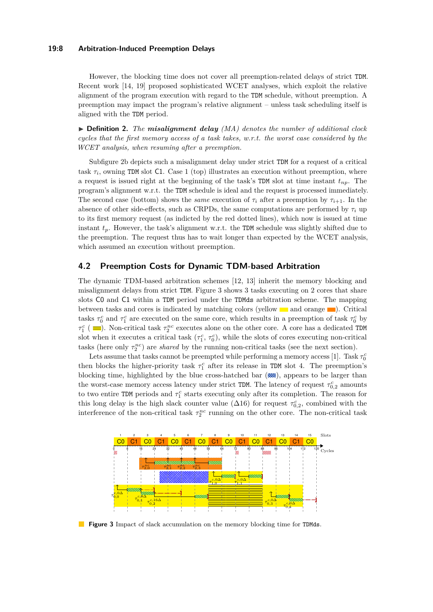## **19:8 Arbitration-Induced Preemption Delays**

However, the blocking time does not cover all preemption-related delays of strict TDM. Recent work [\[14,](#page-20-8) [19\]](#page-21-3) proposed sophisticated WCET analyses, which exploit the relative alignment of the program execution with regard to the TDM schedule, without preemption. A preemption may impact the program's relative alignment – unless task scheduling itself is aligned with the TDM period.

I **Definition 2.** *The misalignment delay (MA) denotes the number of additional clock cycles that the first memory access of a task takes, w.r.t. the worst case considered by the WCET analysis, when resuming after a preemption.*

Subfigure [2b](#page-6-1) depicts such a misalignment delay under strict TDM for a request of a critical task  $\tau_i$ , owning TDM slot C1. Case 1 (top) illustrates an execution without preemption, where a request is issued right at the beginning of the task's TDM slot at time instant *tnp*. The program's alignment w.r.t. the TDM schedule is ideal and the request is processed immediately. The second case (bottom) shows the *same* execution of  $\tau_i$  after a preemption by  $\tau_{i+1}$ . In the absence of other side-effects, such as CRPDs, the same computations are performed by  $\tau_i$  up to its first memory request (as indicted by the red dotted lines), which now is issued at time instant  $t_p$ . However, the task's alignment w.r.t. the TDM schedule was slightly shifted due to the preemption. The request thus has to wait longer than expected by the WCET analysis, which assumed an execution without preemption.

# <span id="page-7-1"></span>**4.2 Preemption Costs for Dynamic TDM-based Arbitration**

The dynamic TDM-based arbitration schemes [\[12,](#page-20-2) [13\]](#page-20-0) inherit the memory blocking and misalignment delays from strict TDM. Figure [3](#page-7-0) shows 3 tasks executing on 2 cores that share slots C0 and C1 within a TDM period under the TDMds arbitration scheme. The mapping between tasks and cores is indicated by matching colors (yellow  $\Box$  and orange  $\Box$ ). Critical tasks  $\tau_0^c$  and  $\tau_1^c$  are executed on the same core, which results in a preemption of task  $\tau_0^c$  by  $\tau_1^c$  (  $\equiv$ ). Non-critical task  $\tau_2^{nc}$  executes alone on the other core. A core has a dedicated TDM slot when it executes a critical task  $(\tau_1^c, \tau_0^c)$ , while the slots of cores executing non-critical tasks (here only  $\tau_2^{nc}$ ) are *shared* by the running non-critical tasks (see the next section).

Lets assume that tasks cannot be preempted while performing a memory access [\[1\]](#page-20-1). Task  $\tau_0^c$ then blocks the higher-priority task  $\tau_1^c$  after its release in TDM slot 4. The preemption's blocking time, highlighted by the blue cross-hatched bar (...), appears to be larger than the worst-case memory access latency under strict TDM. The latency of request  $\tau_{0,2}^c$  amounts to two entire TDM periods and  $\tau_1^c$  starts executing only after its completion. The reason for this long delay is the high slack counter value ( $\Delta$ 16) for request  $\tau_{0,2}^c$ , combined with the interference of the non-critical task  $\tau_2^{nc}$  running on the other core. The non-critical task

<span id="page-7-0"></span>

**Figure 3** Impact of slack accumulation on the memory blocking time for TDMds.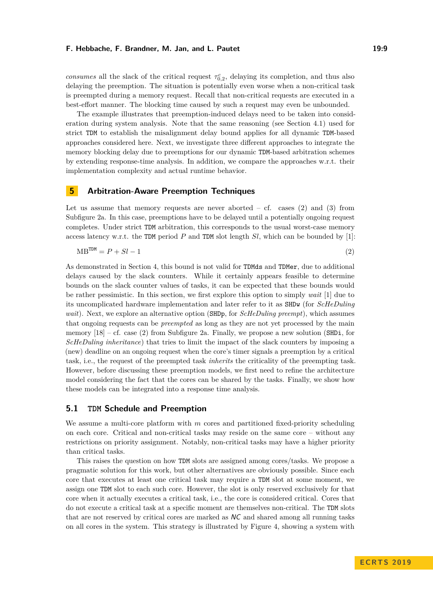#### **F. Hebbache, F. Brandner, M. Jan, and L. Pautet 19:9** 19:9

*consumes* all the slack of the critical request  $\tau_{0,2}^c$ , delaying its completion, and thus also delaying the preemption. The situation is potentially even worse when a non-critical task is preempted during a memory request. Recall that non-critical requests are executed in a best-effort manner. The blocking time caused by such a request may even be unbounded.

The example illustrates that preemption-induced delays need to be taken into consideration during system analysis. Note that the same reasoning (see Section [4.1\)](#page-6-2) used for strict TDM to establish the misalignment delay bound applies for all dynamic TDM-based approaches considered here. Next, we investigate three different approaches to integrate the memory blocking delay due to preemptions for our dynamic TDM-based arbitration schemes by extending response-time analysis. In addition, we compare the approaches w.r.t. their implementation complexity and actual runtime behavior.

# <span id="page-8-0"></span>**5 Arbitration-Aware Preemption Techniques**

Let us assume that memory requests are never aborted  $-$  cf. cases (2) and (3) from Subfigure [2a.](#page-6-1) In this case, preemptions have to be delayed until a potentially ongoing request completes. Under strict TDM arbitration, this corresponds to the usual worst-case memory access latency w.r.t. the TDM period *P* and TDM slot length *Sl*, which can be bounded by [\[1\]](#page-20-1):

<span id="page-8-1"></span>
$$
MB^{TDM} = P + Sl - 1 \tag{2}
$$

As demonstrated in Section [4,](#page-6-0) this bound is not valid for TDMds and TDMer, due to additional delays caused by the slack counters. While it certainly appears feasible to determine bounds on the slack counter values of tasks, it can be expected that these bounds would be rather pessimistic. In this section, we first explore this option to simply *wait* [\[1\]](#page-20-1) due to its uncomplicated hardware implementation and later refer to it as SHDw (for *ScHeDuling wait*). Next, we explore an alternative option (SHDp, for *ScHeDuling preempt*), which assumes that ongoing requests can be *preempted* as long as they are not yet processed by the main memory  $[18]$  – cf. case (2) from Subfigure [2a.](#page-6-1) Finally, we propose a new solution (SHDi, for *ScHeDuling inheritance*) that tries to limit the impact of the slack counters by imposing a (new) deadline on an ongoing request when the core's timer signals a preemption by a critical task, i.e., the request of the preempted task *inherits* the criticality of the preempting task. However, before discussing these preemption models, we first need to refine the architecture model considering the fact that the cores can be shared by the tasks. Finally, we show how these models can be integrated into a response time analysis.

# **5.1 TDM Schedule and Preemption**

We assume a multi-core platform with *m* cores and partitioned fixed-priority scheduling on each core. Critical and non-critical tasks may reside on the same core – without any restrictions on priority assignment. Notably, non-critical tasks may have a higher priority than critical tasks.

This raises the question on how TDM slots are assigned among cores/tasks. We propose a pragmatic solution for this work, but other alternatives are obviously possible. Since each core that executes at least one critical task may require a TDM slot at some moment, we assign one TDM slot to each such core. However, the slot is only reserved exclusively for that core when it actually executes a critical task, i.e., the core is considered critical. Cores that do not execute a critical task at a specific moment are themselves non-critical. The TDM slots that are not reserved by critical cores are marked as NC and shared among all running tasks on all cores in the system. This strategy is illustrated by Figure [4,](#page-9-0) showing a system with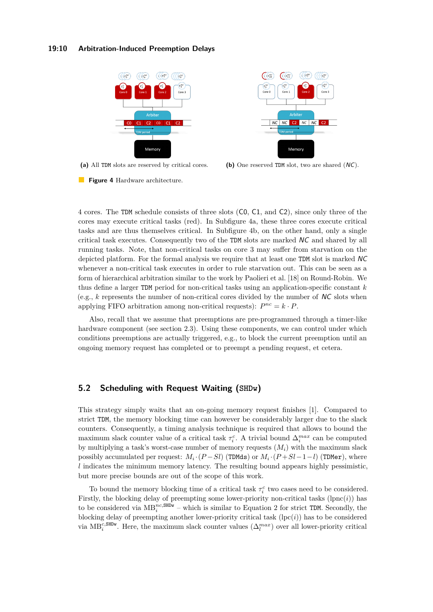## **19:10 Arbitration-Induced Preemption Delays**

<span id="page-9-0"></span>

 $\sigma_{10}^{nc}$  $\int_{1}^{\tau}$  $(\tau_7^{nc})$  $\binom{nc}{9}$ NC C<sub>2</sub> NC NC  $|NC$ Memory

**(a)** All TDM slots are reserved by critical cores. **(b)** One reserved TDM slot, two are shared (NC).



4 cores. The TDM schedule consists of three slots (C0, C1, and C2), since only three of the cores may execute critical tasks (red). In Subfigure [4a,](#page-9-0) these three cores execute critical tasks and are thus themselves critical. In Subfigure [4b,](#page-9-0) on the other hand, only a single critical task executes. Consequently two of the TDM slots are marked NC and shared by all running tasks. Note, that non-critical tasks on core 3 may suffer from starvation on the depicted platform. For the formal analysis we require that at least one TDM slot is marked NC whenever a non-critical task executes in order to rule starvation out. This can be seen as a form of hierarchical arbitration similar to the work by Paolieri et al. [\[18\]](#page-21-1) on Round-Robin. We thus define a larger TDM period for non-critical tasks using an application-specific constant *k* (e.g.,  $k$  represents the number of non-critical cores divided by the number of  $NC$  slots when applying FIFO arbitration among non-critical requests):  $P^{nc} = k \cdot P$ .

Also, recall that we assume that preemptions are pre-programmed through a timer-like hardware component (see section [2.3\)](#page-3-1). Using these components, we can control under which conditions preemptions are actually triggered, e.g., to block the current preemption until an ongoing memory request has completed or to preempt a pending request, et cetera.

# **5.2 Scheduling with Request Waiting (SHDw)**

This strategy simply waits that an on-going memory request finishes [\[1\]](#page-20-1). Compared to strict TDM, the memory blocking time can however be considerably larger due to the slack counters. Consequently, a timing analysis technique is required that allows to bound the maximum slack counter value of a critical task  $\tau_i^c$ . A trivial bound  $\Delta_i^{max}$  can be computed by multiplying a task's worst-case number of memory requests (*Mi*) with the maximum slack possibly accumulated per request:  $M_i \cdot (P-Sl)$  (TDMds) or  $M_i \cdot (P+Sl-1-l)$  (TDMer), where *l* indicates the minimum memory latency. The resulting bound appears highly pessimistic, but more precise bounds are out of the scope of this work.

To bound the memory blocking time of a critical task  $\tau_i^c$  two cases need to be considered. Firstly, the blocking delay of preempting some lower-priority non-critical tasks  $(\text{lpc}(i))$  has to be considered via  $MB_i^{nc,SBDw}$  – which is similar to Equation [2](#page-8-1) for strict TDM. Secondly, the blocking delay of preempting another lower-priority critical task  $(\text{lpc}(i))$  has to be considered via  $MB_i^{\text{c,SBDW}}$ . Here, the maximum slack counter values  $(\Delta_l^{max})$  over all lower-priority critical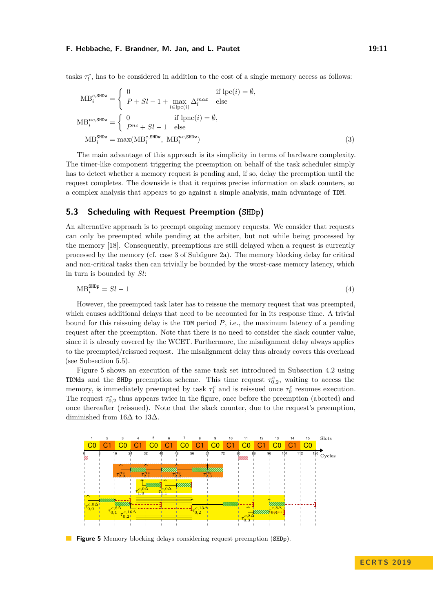#### **F. Hebbache, F. Brandner, M. Jan, and L. Pautet 19:11** 19:11

tasks  $\tau_l^c$ , has to be considered in addition to the cost of a single memory access as follows:

$$
MB_i^{c, \text{SHDw}} = \begin{cases} 0 & \text{if } \text{lpc}(i) = \emptyset, \\ P + Sl - 1 + \max_{l \in \text{lpc}(i)} \Delta_l^{max} & \text{else} \end{cases}
$$

$$
MB_i^{nc, \text{SHDw}} = \begin{cases} 0 & \text{if } \text{lpnc}(i) = \emptyset, \\ P^{nc} + Sl - 1 & \text{else} \end{cases}
$$

$$
MB_i^{\text{SHDw}} = \max(MB_i^{c, \text{SHDw}}, MB_i^{nc, \text{SHDw}})
$$
(3)

The main advantage of this approach is its simplicity in terms of hardware complexity. The timer-like component triggering the preemption on behalf of the task scheduler simply has to detect whether a memory request is pending and, if so, delay the preemption until the request completes. The downside is that it requires precise information on slack counters, so a complex analysis that appears to go against a simple analysis, main advantage of TDM.

## **5.3 Scheduling with Request Preemption (SHDp)**

An alternative approach is to preempt ongoing memory requests. We consider that requests can only be preempted while pending at the arbiter, but not while being processed by the memory [\[18\]](#page-21-1). Consequently, preemptions are still delayed when a request is currently processed by the memory (cf. case 3 of Subfigure [2a\)](#page-6-1). The memory blocking delay for critical and non-critical tasks then can trivially be bounded by the worst-case memory latency, which in turn is bounded by *Sl*:

$$
\text{MB}_i^{\text{SHDP}} = Sl - 1 \tag{4}
$$

However, the preempted task later has to reissue the memory request that was preempted, which causes additional delays that need to be accounted for in its response time. A trivial bound for this reissuing delay is the TDM period *P*, i.e., the maximum latency of a pending request after the preemption. Note that there is no need to consider the slack counter value, since it is already covered by the WCET. Furthermore, the misalignment delay always applies to the preempted/reissued request. The misalignment delay thus already covers this overhead (see Subsection [5.5\)](#page-12-0).

Figure [5](#page-10-0) shows an execution of the same task set introduced in Subsection [4.2](#page-7-1) using TDMds and the SHDp preemption scheme. This time request  $\tau_{0,2}^c$ , waiting to access the memory, is immediately preempted by task  $\tau_1^c$  and is reissued once  $\tau_0^c$  resumes execution. The request  $\tau_{0,2}^c$  thus appears twice in the figure, once before the preemption (aborted) and once thereafter (reissued). Note that the slack counter, due to the request's preemption, diminished from 16 $\Delta$  to 13 $\Delta$ .

<span id="page-10-0"></span>

**Figure 5** Memory blocking delays considering request preemption (SHDp).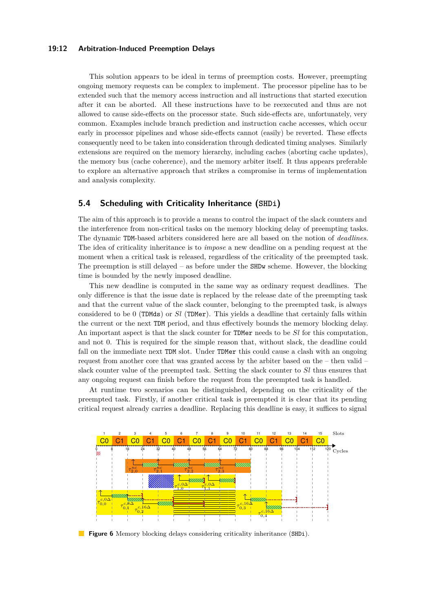## **19:12 Arbitration-Induced Preemption Delays**

This solution appears to be ideal in terms of preemption costs. However, preempting ongoing memory requests can be complex to implement. The processor pipeline has to be extended such that the memory access instruction and all instructions that started execution after it can be aborted. All these instructions have to be reexecuted and thus are not allowed to cause side-effects on the processor state. Such side-effects are, unfortunately, very common. Examples include branch prediction and instruction cache accesses, which occur early in processor pipelines and whose side-effects cannot (easily) be reverted. These effects consequently need to be taken into consideration through dedicated timing analyses. Similarly extensions are required on the memory hierarchy, including caches (aborting cache updates), the memory bus (cache coherence), and the memory arbiter itself. It thus appears preferable to explore an alternative approach that strikes a compromise in terms of implementation and analysis complexity.

# <span id="page-11-1"></span>**5.4 Scheduling with Criticality Inheritance (SHDi)**

The aim of this approach is to provide a means to control the impact of the slack counters and the interference from non-critical tasks on the memory blocking delay of preempting tasks. The dynamic TDM-based arbiters considered here are all based on the notion of *deadlines*. The idea of criticality inheritance is to *impose* a new deadline on a pending request at the moment when a critical task is released, regardless of the criticality of the preempted task. The preemption is still delayed – as before under the  $SHDw$  scheme. However, the blocking time is bounded by the newly imposed deadline.

This new deadline is computed in the same way as ordinary request deadlines. The only difference is that the issue date is replaced by the release date of the preempting task and that the current value of the slack counter, belonging to the preempted task, is always considered to be 0 (TDMds) or *Sl* (TDMer). This yields a deadline that certainly falls within the current or the next TDM period, and thus effectively bounds the memory blocking delay. An important aspect is that the slack counter for TDMer needs to be *Sl* for this computation, and not 0. This is required for the simple reason that, without slack, the deadline could fall on the immediate next TDM slot. Under TDMer this could cause a clash with an ongoing request from another core that was granted access by the arbiter based on the – then valid – slack counter value of the preempted task. Setting the slack counter to *Sl* thus ensures that any ongoing request can finish before the request from the preempted task is handled.

At runtime two scenarios can be distinguished, depending on the criticality of the preempted task. Firstly, if another critical task is preempted it is clear that its pending critical request already carries a deadline. Replacing this deadline is easy, it suffices to signal

<span id="page-11-0"></span>

**Figure 6** Memory blocking delays considering criticality inheritance (SHDi).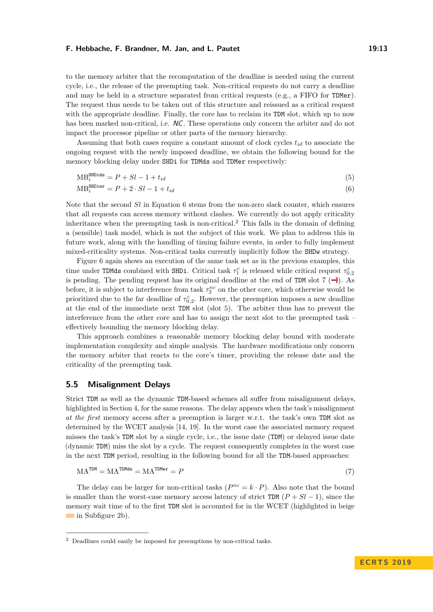### **F. Hebbache, F. Brandner, M. Jan, and L. Pautet 19:13**

to the memory arbiter that the recomputation of the deadline is needed using the current cycle, i.e., the release of the preempting task. Non-critical requests do not carry a deadline and may be held in a structure separated from critical requests (e.g., a FIFO for TDMer). The request thus needs to be taken out of this structure and reissued as a critical request with the appropriate deadline. Finally, the core has to reclaim its TDM slot, which up to now has been marked non-critical, i.e. NC. These operations only concern the arbiter and do not impact the processor pipeline or other parts of the memory hierarchy.

Assuming that both cases require a constant amount of clock cycles  $t_{id}$  to associate the ongoing request with the newly imposed deadline, we obtain the following bound for the memory blocking delay under SHDi for TDMds and TDMer respectively:

$$
MB_i^{\text{SHDids}} = P + Sl - 1 + t_{id} \tag{5}
$$

<span id="page-12-1"></span>
$$
MB_i^{\text{SHDier}} = P + 2 \cdot Sl - 1 + t_{id} \tag{6}
$$

Note that the second *Sl* in Equation [6](#page-12-1) stems from the non-zero slack counter, which ensures that all requests can access memory without clashes. We currently do not apply criticality inheritance when the preempting task is non-critical.[2](#page-12-2) This falls in the domain of defining a (sensible) task model, which is not the subject of this work. We plan to address this in future work, along with the handling of timing failure events, in order to fully implement mixed-criticality systems. Non-critical tasks currently implicitly follow the SHDw strategy.

Figure [6](#page-11-0) again shows an execution of the same task set as in the previous examples, this time under TDMds combined with SHDi. Critical task  $\tau_1^c$  is released while critical request  $\tau_{0,2}^c$ is pending. The pending request has its original deadline at the end of TDM slot  $7$   $\left(\frac{-1}{2}\right)$ . As before, it is subject to interference from task  $\tau_2^{nc}$  on the other core, which otherwise would be prioritized due to the far deadline of  $\tau_{0,2}^c$ . However, the preemption imposes a new deadline at the end of the immediate next TDM slot (slot 5). The arbiter thus has to prevent the interference from the other core and has to assign the next slot to the preempted task – effectively bounding the memory blocking delay.

This approach combines a reasonable memory blocking delay bound with moderate implementation complexity and simple analysis. The hardware modifications only concern the memory arbiter that reacts to the core's timer, providing the release date and the criticality of the preempting task.

## <span id="page-12-0"></span>**5.5 Misalignment Delays**

Strict TDM as well as the dynamic TDM-based schemes all suffer from misalignment delays, highlighted in Section [4,](#page-6-0) for the same reasons. The delay appears when the task's misalignment *at the first* memory access after a preemption is larger w.r.t. the task's own TDM slot as determined by the WCET analysis [\[14,](#page-20-8) [19\]](#page-21-3). In the worst case the associated memory request misses the task's TDM slot by a single cycle, i.e., the issue date (TDM) or delayed issue date (dynamic TDM) miss the slot by a cycle. The request consequently completes in the worst case in the next TDM period, resulting in the following bound for all the TDM-based approaches:

$$
MA^{TDM} = MA^{TDMds} = MA^{TDMer} = P \tag{7}
$$

The delay can be larger for non-critical tasks  $(P^{nc} = k \cdot P)$ . Also note that the bound is smaller than the worst-case memory access latency of strict TDM  $(P + Sl - 1)$ , since the memory wait time of to the first TDM slot is accounted for in the WCET (highlighted in beige in Subfigure [2b\)](#page-6-1).

<span id="page-12-2"></span><sup>&</sup>lt;sup>2</sup> Deadlines could easily be imposed for preemptions by non-critical tasks.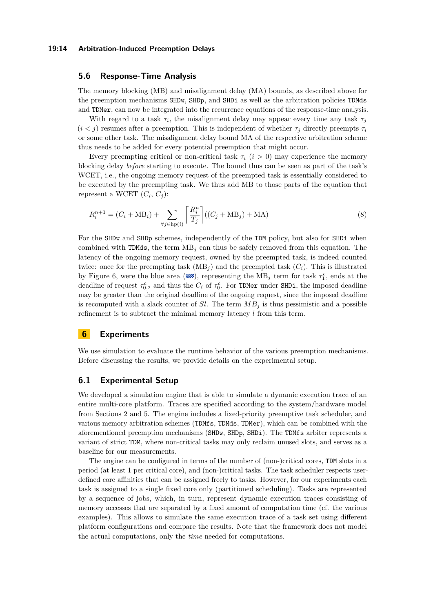#### **19:14 Arbitration-Induced Preemption Delays**

## **5.6 Response-Time Analysis**

The memory blocking (MB) and misalignment delay (MA) bounds, as described above for the preemption mechanisms SHDw, SHDp, and SHDi as well as the arbitration policies TDMds and TDMer, can now be integrated into the recurrence equations of the response-time analysis.

With regard to a task  $\tau_i$ , the misalignment delay may appear every time any task  $\tau_j$  $(i < j)$  resumes after a preemption. This is independent of whether  $\tau_j$  directly preempts  $\tau_i$ or some other task. The misalignment delay bound MA of the respective arbitration scheme thus needs to be added for every potential preemption that might occur.

Every preempting critical or non-critical task  $\tau_i$  (*i* > 0) may experience the memory blocking delay *before* starting to execute. The bound thus can be seen as part of the task's WCET, i.e., the ongoing memory request of the preempted task is essentially considered to be executed by the preempting task. We thus add MB to those parts of the equation that represent a WCET  $(C_i, C_j)$ :

$$
R_i^{n+1} = (C_i + \text{MB}_i) + \sum_{\forall j \in \text{hp}(i)} \left[ \frac{R_i^n}{T_j} \right] ((C_j + \text{MB}_j) + \text{MA}) \tag{8}
$$

For the SHDw and SHDp schemes, independently of the TDM policy, but also for SHDi when combined with TDMds, the term  $MB<sub>j</sub>$  can thus be safely removed from this equation. The latency of the ongoing memory request, owned by the preempted task, is indeed counted twice: once for the preempting task  $(MB_i)$  and the preempted task  $(C_i)$ . This is illustrated by Figure [6,](#page-11-0) were the blue area ( $\mathcal{R}\$ ), representing the  $MB_j$  term for task  $\tau_1^c$ , ends at the deadline of request  $\tau_{0,2}^c$  and thus the  $C_i$  of  $\tau_0^c$ . For TDMer under SHDi, the imposed deadline may be greater than the original deadline of the ongoing request, since the imposed deadline is recomputed with a slack counter of *Sl*. The term  $MB<sub>j</sub>$  is thus pessimistic and a possible refinement is to subtract the minimal memory latency  $l$  from this term.

## <span id="page-13-0"></span>**6 Experiments**

We use simulation to evaluate the runtime behavior of the various preemption mechanisms. Before discussing the results, we provide details on the experimental setup.

# **6.1 Experimental Setup**

We developed a simulation engine that is able to simulate a dynamic execution trace of an entire multi-core platform. Traces are specified according to the system/hardware model from Sections [2](#page-2-0) and [5.](#page-8-0) The engine includes a fixed-priority preemptive task scheduler, and various memory arbitration schemes (TDMfs, TDMds, TDMer), which can be combined with the aforementioned preemption mechanisms (SHDw, SHDp, SHDi). The TDMfs arbiter represents a variant of strict TDM, where non-critical tasks may only reclaim unused slots, and serves as a baseline for our measurements.

The engine can be configured in terms of the number of (non-)critical cores, TDM slots in a period (at least 1 per critical core), and (non-)critical tasks. The task scheduler respects userdefined core affinities that can be assigned freely to tasks. However, for our experiments each task is assigned to a single fixed core only (partitioned scheduling). Tasks are represented by a sequence of jobs, which, in turn, represent dynamic execution traces consisting of memory accesses that are separated by a fixed amount of computation time (cf. the various examples). This allows to simulate the same execution trace of a task set using different platform configurations and compare the results. Note that the framework does not model the actual computations, only the *time* needed for computations.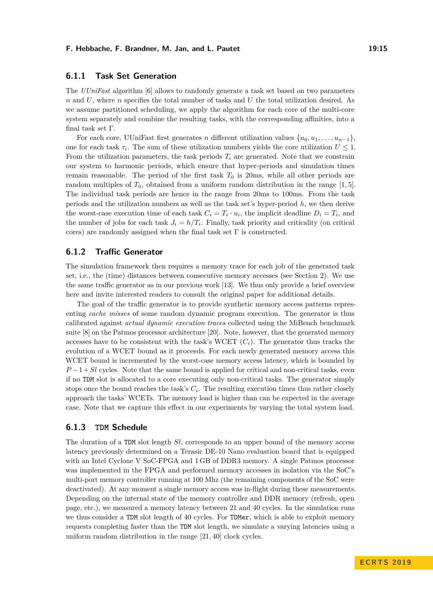### **F. Hebbache, F. Brandner, M. Jan, and L. Pautet 19:15**

# **6.1.1 Task Set Generation**

The *UUniFast* algorithm [\[6\]](#page-20-9) allows to randomly generate a task set based on two parameters *n* and *U*, where *n* specifies the total number of tasks and *U* the total utilization desired. As we assume partitioned scheduling, we apply the algorithm for each core of the multi-core system separately and combine the resulting tasks, with the corresponding affinities, into a final task set Γ.

For each core, UUniFast first generates *n* different utilization values  $\{u_0, u_1, \ldots, u_{n-1}\},\$ one for each task  $\tau_i$ . The sum of these utilization numbers yields the core utilization  $U \leq 1$ . From the utilization parameters, the task periods  $T_i$  are generated. Note that we constrain our system to harmonic periods, which ensure that hyper-periods and simulation times remain reasonable. The period of the first task  $T_0$  is 20ms, while all other periods are random multiples of *T*0, obtained from a uniform random distribution in the range [1*,* 5]. The individual task periods are hence in the range from 20ms to 100ms. From the task periods and the utilization numbers as well as the task set's hyper-period *h*, we then derive the worst-case execution time of each task  $C_i = T_i \cdot u_i$ , the implicit deadline  $D_i = T_i$ , and the number of jobs for each task  $J_i = h/T_i$ . Finally, task priority and criticality (on critical cores) are randomly assigned when the final task set  $\Gamma$  is constructed.

# **6.1.2 Traffic Generator**

The simulation framework then requires a memory trace for each job of the generated task set, i.e., the (time) distances between consecutive memory accesses (see Section [2\)](#page-2-0). We use the same traffic generator as in our previous work [\[13\]](#page-20-0). We thus only provide a brief overview here and invite interested readers to consult the original paper for additional details.

The goal of the traffic generator is to provide synthetic memory access patterns representing *cache misses* of some random dynamic program execution. The generator is thus calibrated against *actual dynamic execution traces* collected using the MiBench benchmark suite [\[8\]](#page-20-10) on the Patmos processor architecture [\[20\]](#page-21-4). Note, however, that the generated memory accesses have to be consistent with the task's WCET  $(C_i)$ . The generator thus tracks the evolution of a WCET bound as it proceeds. For each newly generated memory access this WCET bound is incremented by the worst-case memory access latency, which is bounded by  $P-1+Sl$  cycles. Note that the same bound is applied for critical and non-critical tasks, even if no TDM slot is allocated to a core executing only non-critical tasks. The generator simply stops once the bound reaches the task's *C<sup>i</sup>* . The resulting execution times thus rather closely approach the tasks' WCETs. The memory load is higher than can be expected in the average case. Note that we capture this effect in our experiments by varying the total system load.

## **6.1.3 TDM Schedule**

The duration of a TDM slot length *Sl*, corresponds to an upper bound of the memory access latency previously determined on a Terasic DE-10 Nano evaluation board that is equipped with an Intel Cyclone V SoC-FPGA and 1 GB of DDR3 memory. A single Patmos processor was implemented in the FPGA and performed memory accesses in isolation via the SoC's multi-port memory controller running at 100 Mhz (the remaining components of the SoC were deactivated). At any moment a single memory access was in-flight during these measurements. Depending on the internal state of the memory controller and DDR memory (refresh, open page, etc.), we measured a memory latency between 21 and 40 cycles. In the simulation runs we thus consider a TDM slot length of 40 cycles. For TDMer, which is able to exploit memory requests completing faster than the TDM slot length, we simulate a varying latencies using a uniform random distribution in the range [21*,* 40] clock cycles.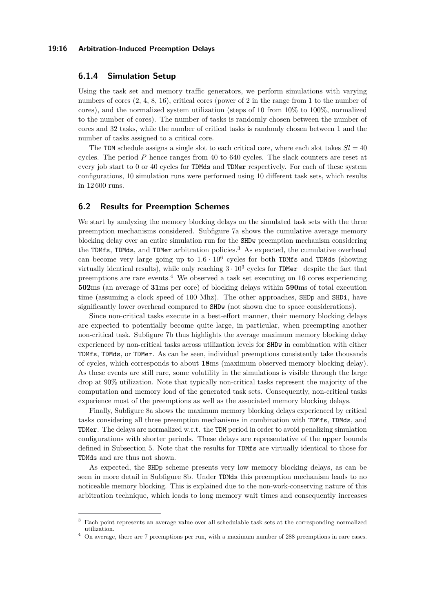#### **19:16 Arbitration-Induced Preemption Delays**

## **6.1.4 Simulation Setup**

Using the task set and memory traffic generators, we perform simulations with varying numbers of cores (2, 4, 8, 16), critical cores (power of 2 in the range from 1 to the number of cores), and the normalized system utilization (steps of 10 from 10% to 100%, normalized to the number of cores). The number of tasks is randomly chosen between the number of cores and 32 tasks, while the number of critical tasks is randomly chosen between 1 and the number of tasks assigned to a critical core.

The TDM schedule assigns a single slot to each critical core, where each slot takes  $Sl = 40$ cycles. The period *P* hence ranges from 40 to 640 cycles. The slack counters are reset at every job start to 0 or 40 cycles for TDMds and TDMer respectively. For each of these system configurations, 10 simulation runs were performed using 10 different task sets, which results in 12 600 runs.

## <span id="page-15-2"></span>**6.2 Results for Preemption Schemes**

We start by analyzing the memory blocking delays on the simulated task sets with the three preemption mechanisms considered. Subfigure [7a](#page-16-0) shows the cumulative average memory blocking delay over an entire simulation run for the SHDw preemption mechanism considering the TDMfs, TDMds, and TDMer arbitration policies.<sup>[3](#page-15-0)</sup> As expected, the cumulative overhead can become very large going up to  $1.6 \cdot 10^6$  cycles for both TDMfs and TDMds (showing virtually identical results), while only reaching  $3 \cdot 10^3$  cycles for TDMer– despite the fact that preemptions are rare events.<sup>[4](#page-15-1)</sup> We observed a task set executing on 16 cores experiencing **502**ms (an average of **31**ms per core) of blocking delays within **590**ms of total execution time (assuming a clock speed of 100 Mhz). The other approaches, SHDp and SHDi, have significantly lower overhead compared to SHDw (not shown due to space considerations).

Since non-critical tasks execute in a best-effort manner, their memory blocking delays are expected to potentially become quite large, in particular, when preempting another non-critical task. Subfigure [7b](#page-16-0) thus highlights the average maximum memory blocking delay experienced by non-critical tasks across utilization levels for SHDw in combination with either TDMfs, TDMds, or TDMer. As can be seen, individual preemptions consistently take thousands of cycles, which corresponds to about **18**ms (maximum observed memory blocking delay). As these events are still rare, some volatility in the simulations is visible through the large drop at 90% utilization. Note that typically non-critical tasks represent the majority of the computation and memory load of the generated task sets. Consequently, non-critical tasks experience most of the preemptions as well as the associated memory blocking delays.

Finally, Subfigure [8a](#page-16-1) shows the maximum memory blocking delays experienced by critical tasks considering all three preemption mechanisms in combination with TDMfs, TDMds, and TDMer. The delays are normalized w.r.t. the TDM period in order to avoid penalizing simulation configurations with shorter periods. These delays are representative of the upper bounds defined in Subsection [5.](#page-8-0) Note that the results for TDMfs are virtually identical to those for TDMds and are thus not shown.

As expected, the SHDp scheme presents very low memory blocking delays, as can be seen in more detail in Subfigure [8b.](#page-16-1) Under TDMds this preemption mechanism leads to no noticeable memory blocking. This is explained due to the non-work-conserving nature of this arbitration technique, which leads to long memory wait times and consequently increases

<span id="page-15-0"></span><sup>3</sup> Each point represents an average value over all schedulable task sets at the corresponding normalized utilization.

<span id="page-15-1"></span><sup>4</sup> On average, there are 7 preemptions per run, with a maximum number of 288 preemptions in rare cases.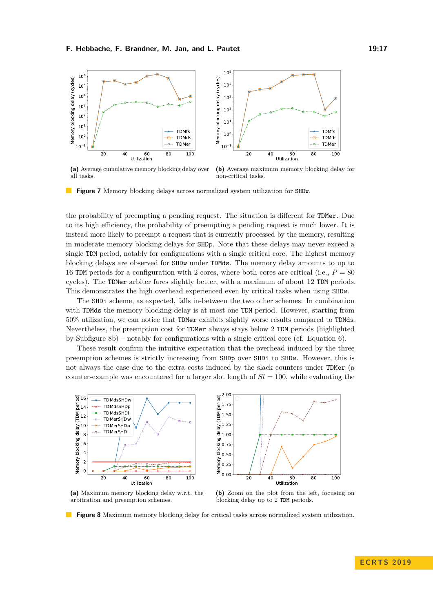#### **F. Hebbache, F. Brandner, M. Jan, and L. Pautet 19:17** 19:17

<span id="page-16-0"></span>

**(a)** Average cumulative memory blocking delay over all tasks. **(b)** Average maximum memory blocking delay for non-critical tasks.

**Figure 7** Memory blocking delays across normalized system utilization for SHDw.

the probability of preempting a pending request. The situation is different for TDMer. Due to its high efficiency, the probability of preempting a pending request is much lower. It is instead more likely to preempt a request that is currently processed by the memory, resulting in moderate memory blocking delays for SHDp. Note that these delays may never exceed a single TDM period, notably for configurations with a single critical core. The highest memory blocking delays are observed for SHDw under TDMds. The memory delay amounts to up to 16 TDM periods for a configuration with 2 cores, where both cores are critical (i.e.,  $P = 80$ cycles). The TDMer arbiter fares slightly better, with a maximum of about 12 TDM periods. This demonstrates the high overhead experienced even by critical tasks when using SHDw.

The SHDi scheme, as expected, falls in-between the two other schemes. In combination with TDMds the memory blocking delay is at most one TDM period. However, starting from 50% utilization, we can notice that TDMer exhibits slightly worse results compared to TDMds. Nevertheless, the preemption cost for TDMer always stays below 2 TDM periods (highlighted by Subfigure [8b\)](#page-16-1) – notably for configurations with a single critical core (cf. Equation [6\)](#page-12-1).

These result confirm the intuitive expectation that the overhead induced by the three preemption schemes is strictly increasing from SHDp over SHDi to SHDw. However, this is not always the case due to the extra costs induced by the slack counters under TDMer (a counter-example was encountered for a larger slot length of  $Sl = 100$ , while evaluating the

<span id="page-16-1"></span>

**(a)** Maximum memory blocking delay w.r.t. the arbitration and preemption schemes.

**(b)** Zoom on the plot from the left, focusing on blocking delay up to 2 TDM periods.

**Figure 8** Maximum memory blocking delay for critical tasks across normalized system utilization.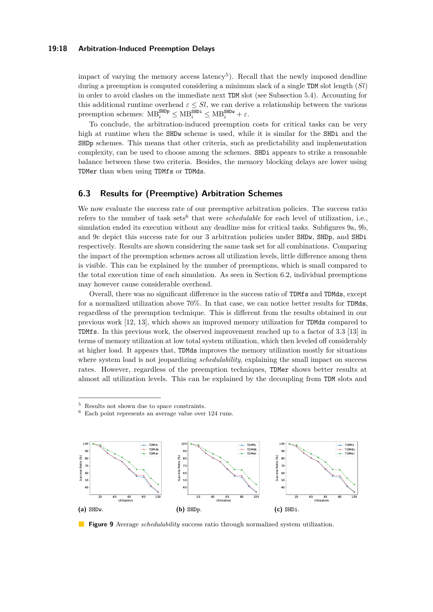## **19:18 Arbitration-Induced Preemption Delays**

impact of varying the memory access latency<sup>[5](#page-17-0)</sup>). Recall that the newly imposed deadline during a preemption is computed considering a minimum slack of a single TDM slot length (*Sl*) in order to avoid clashes on the immediate next TDM slot (see Subsection [5.4\)](#page-11-1). Accounting for this additional runtime overhead  $\varepsilon \leq Sl$ , we can derive a relationship between the various  $\text{preemption schemes: MB}^{\text{SHDP}}_i \leq \text{MB}^{\text{SHDr}}_i \leq \text{MB}^{\text{SHDw}}_i + \varepsilon.$ 

To conclude, the arbitration-induced preemption costs for critical tasks can be very high at runtime when the SHDw scheme is used, while it is similar for the SHDi and the SHDp schemes. This means that other criteria, such as predictability and implementation complexity, can be used to choose among the schemes. SHDi appears to strike a reasonable balance between these two criteria. Besides, the memory blocking delays are lower using TDMer than when using TDMfs or TDMds.

## **6.3 Results for (Preemptive) Arbitration Schemes**

We now evaluate the success rate of our preemptive arbitration policies. The success ratio refers to the number of task sets<sup>[6](#page-17-1)</sup> that were *schedulable* for each level of utilization, i.e., simulation ended its execution without any deadline miss for critical tasks. Subfigures [9a, 9b,](#page-17-2) and [9c](#page-17-2) depict this success rate for our 3 arbitration policies under SHDw, SHDp, and SHDi respectively. Results are shown considering the same task set for all combinations. Comparing the impact of the preemption schemes across all utilization levels, little difference among them is visible. This can be explained by the number of preemptions, which is small compared to the total execution time of each simulation. As seen in Section [6.2,](#page-15-2) individual preemptions may however cause considerable overhead.

Overall, there was no significant difference in the success ratio of TDMfs and TDMds, except for a normalized utilization above 70%. In that case, we can notice better results for TDMds, regardless of the preemption technique. This is different from the results obtained in our previous work [\[12,](#page-20-2) [13\]](#page-20-0), which shows an improved memory utilization for TDMds compared to TDMfs. In this previous work, the observed improvement reached up to a factor of 3*.*3 [\[13\]](#page-20-0) in terms of memory utilization at low total system utilization, which then leveled off considerably at higher load. It appears that, TDMds improves the memory utilization mostly for situations where system load is not jeopardizing *schedulability*, explaining the small impact on success rates. However, regardless of the preemption techniques, TDMer shows better results at almost all utilization levels. This can be explained by the decoupling from TDM slots and

<span id="page-17-1"></span>Each point represents an average value over 124 runs.

<span id="page-17-2"></span>

**Figure 9** Average *schedulability* success ratio through normalized system utilization.

<span id="page-17-0"></span> $5$  Results not shown due to space constraints.<br> $6$  Results point represents an average value symptom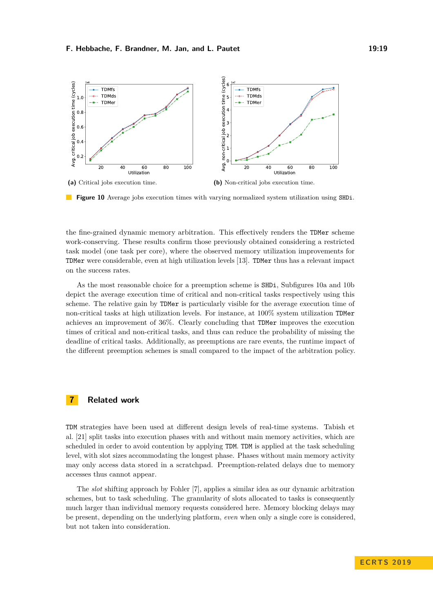<span id="page-18-1"></span>

**Figure 10** Average jobs execution times with varying normalized system utilization using SHDi.

the fine-grained dynamic memory arbitration. This effectively renders the TDMer scheme work-conserving. These results confirm those previously obtained considering a restricted task model (one task per core), where the observed memory utilization improvements for TDMer were considerable, even at high utilization levels [\[13\]](#page-20-0). TDMer thus has a relevant impact on the success rates.

As the most reasonable choice for a preemption scheme is SHDi, Subfigures [10a](#page-18-1) and [10b](#page-18-1) depict the average execution time of critical and non-critical tasks respectively using this scheme. The relative gain by TDMer is particularly visible for the average execution time of non-critical tasks at high utilization levels. For instance, at 100% system utilization TDMer achieves an improvement of 36%. Clearly concluding that TDMer improves the execution times of critical and non-critical tasks, and thus can reduce the probability of missing the deadline of critical tasks. Additionally, as preemptions are rare events, the runtime impact of the different preemption schemes is small compared to the impact of the arbitration policy.

# <span id="page-18-0"></span>**7 Related work**

TDM strategies have been used at different design levels of real-time systems. Tabish et al. [\[21\]](#page-21-5) split tasks into execution phases with and without main memory activities, which are scheduled in order to avoid contention by applying TDM. TDM is applied at the task scheduling level, with slot sizes accommodating the longest phase. Phases without main memory activity may only access data stored in a scratchpad. Preemption-related delays due to memory accesses thus cannot appear.

The *slot* shifting approach by Fohler [\[7\]](#page-20-11), applies a similar idea as our dynamic arbitration schemes, but to task scheduling. The granularity of slots allocated to tasks is consequently much larger than individual memory requests considered here. Memory blocking delays may be present, depending on the underlying platform, *even* when only a single core is considered, but not taken into consideration.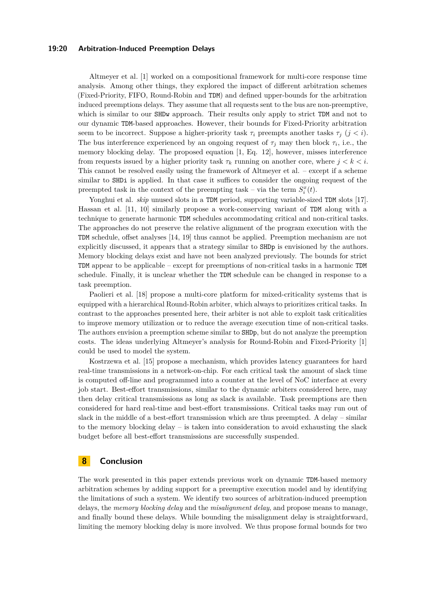## **19:20 Arbitration-Induced Preemption Delays**

Altmeyer et al. [\[1\]](#page-20-1) worked on a compositional framework for multi-core response time analysis. Among other things, they explored the impact of different arbitration schemes (Fixed-Priority, FIFO, Round-Robin and TDM) and defined upper-bounds for the arbitration induced preemptions delays. They assume that all requests sent to the bus are non-preemptive, which is similar to our SHDw approach. Their results only apply to strict TDM and not to our dynamic TDM-based approaches. However, their bounds for Fixed-Priority arbitration seem to be incorrect. Suppose a higher-priority task  $\tau_i$  preempts another tasks  $\tau_j$  ( $j < i$ ). The bus interference experienced by an ongoing request of  $\tau_j$  may then block  $\tau_i$ , i.e., the memory blocking delay. The proposed equation [\[1,](#page-20-1) Eq. 12], however, misses interference from requests issued by a higher priority task  $\tau_k$  running on another core, where  $j < k < i$ . This cannot be resolved easily using the framework of Altmeyer et al. – except if a scheme similar to SHDi is applied. In that case it suffices to consider the ongoing request of the preempted task in the context of the preempting task – via the term  $S_i^x(t)$ .

Yonghui et al. *skip* unused slots in a TDM period, supporting variable-sized TDM slots [\[17\]](#page-21-6). Hassan et al. [\[11,](#page-20-12) [10\]](#page-20-13) similarly propose a work-conserving variant of TDM along with a technique to generate harmonic TDM schedules accommodating critical and non-critical tasks. The approaches do not preserve the relative alignment of the program execution with the TDM schedule, offset analyses [\[14,](#page-20-8) [19\]](#page-21-3) thus cannot be applied. Preemption mechanism are not explicitly discussed, it appears that a strategy similar to SHDp is envisioned by the authors. Memory blocking delays exist and have not been analyzed previously. The bounds for strict TDM appear to be applicable – except for preemptions of non-critical tasks in a harmonic TDM schedule. Finally, it is unclear whether the TDM schedule can be changed in response to a task preemption.

Paolieri et al. [\[18\]](#page-21-1) propose a multi-core platform for mixed-criticality systems that is equipped with a hierarchical Round-Robin arbiter, which always to prioritizes critical tasks. In contrast to the approaches presented here, their arbiter is not able to exploit task criticalities to improve memory utilization or to reduce the average execution time of non-critical tasks. The authors envision a preemption scheme similar to SHDp, but do not analyze the preemption costs. The ideas underlying Altmeyer's analysis for Round-Robin and Fixed-Priority [\[1\]](#page-20-1) could be used to model the system.

Kostrzewa et al. [\[15\]](#page-21-7) propose a mechanism, which provides latency guarantees for hard real-time transmissions in a network-on-chip. For each critical task the amount of slack time is computed off-line and programmed into a counter at the level of NoC interface at every job start. Best-effort transmissions, similar to the dynamic arbiters considered here, may then delay critical transmissions as long as slack is available. Task preemptions are then considered for hard real-time and best-effort transmissions. Critical tasks may run out of slack in the middle of a best-effort transmission which are thus preempted. A delay – similar to the memory blocking delay – is taken into consideration to avoid exhausting the slack budget before all best-effort transmissions are successfully suspended.

# <span id="page-19-0"></span>**8 Conclusion**

The work presented in this paper extends previous work on dynamic TDM-based memory arbitration schemes by adding support for a preemptive execution model and by identifying the limitations of such a system. We identify two sources of arbitration-induced preemption delays, the *memory blocking delay* and the *misalignment delay*, and propose means to manage, and finally bound these delays. While bounding the misalignment delay is straightforward, limiting the memory blocking delay is more involved. We thus propose formal bounds for two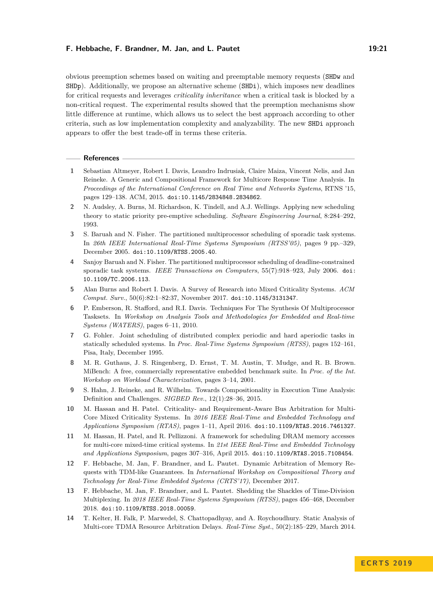## **F. Hebbache, F. Brandner, M. Jan, and L. Pautet 19:21**

obvious preemption schemes based on waiting and preemptable memory requests (SHDw and SHDp). Additionally, we propose an alternative scheme (SHDi), which imposes new deadlines for critical requests and leverages *criticality inheritance* when a critical task is blocked by a non-critical request. The experimental results showed that the preemption mechanisms show little difference at runtime, which allows us to select the best approach according to other criteria, such as low implementation complexity and analyzability. The new SHDi approach appears to offer the best trade-off in terms these criteria.

#### **References**

- <span id="page-20-1"></span>**1** Sebastian Altmeyer, Robert I. Davis, Leandro Indrusiak, Claire Maiza, Vincent Nelis, and Jan Reineke. A Generic and Compositional Framework for Multicore Response Time Analysis. In *Proceedings of the International Conference on Real Time and Networks Systems*, RTNS '15, pages 129–138. ACM, 2015. [doi:10.1145/2834848.2834862](http://dx.doi.org/10.1145/2834848.2834862).
- <span id="page-20-4"></span>**2** N. Audsley, A. Burns, M. Richardson, K. Tindell, and A.J. Wellings. Applying new scheduling theory to static priority pre-emptive scheduling. *Software Engineering Journal*, 8:284–292, 1993.
- <span id="page-20-6"></span>**3** S. Baruah and N. Fisher. The partitioned multiprocessor scheduling of sporadic task systems. In *26th IEEE International Real-Time Systems Symposium (RTSS'05)*, pages 9 pp.–329, December 2005. [doi:10.1109/RTSS.2005.40](http://dx.doi.org/10.1109/RTSS.2005.40).
- <span id="page-20-7"></span>**4** Sanjoy Baruah and N. Fisher. The partitioned multiprocessor scheduling of deadline-constrained sporadic task systems. *IEEE Transactions on Computers*, 55(7):918–923, July 2006. [doi:](http://dx.doi.org/10.1109/TC.2006.113) [10.1109/TC.2006.113](http://dx.doi.org/10.1109/TC.2006.113).
- <span id="page-20-3"></span>**5** Alan Burns and Robert I. Davis. A Survey of Research into Mixed Criticality Systems. *ACM Comput. Surv.*, 50(6):82:1–82:37, November 2017. [doi:10.1145/3131347](http://dx.doi.org/10.1145/3131347).
- <span id="page-20-9"></span>**6** P. Emberson, R. Stafford, and R.I. Davis. Techniques For The Synthesis Of Multiprocessor Tasksets. In *Workshop on Analysis Tools and Methodologies for Embedded and Real-time Systems (WATERS)*, pages 6–11, 2010.
- <span id="page-20-11"></span>**7** G. Fohler. Joint scheduling of distributed complex periodic and hard aperiodic tasks in statically scheduled systems. In *Proc. Real-Time Systems Symposium (RTSS)*, pages 152–161, Pisa, Italy, December 1995.
- <span id="page-20-10"></span>**8** M. R. Guthaus, J. S. Ringenberg, D. Ernst, T. M. Austin, T. Mudge, and R. B. Brown. MiBench: A free, commercially representative embedded benchmark suite. In *Proc. of the Int. Workshop on Workload Characterization*, pages 3–14, 2001.
- <span id="page-20-5"></span>**9** S. Hahn, J. Reineke, and R. Wilhelm. Towards Compositionality in Execution Time Analysis: Definition and Challenges. *SIGBED Rev.*, 12(1):28–36, 2015.
- <span id="page-20-13"></span>**10** M. Hassan and H. Patel. Criticality- and Requirement-Aware Bus Arbitration for Multi-Core Mixed Criticality Systems. In *2016 IEEE Real-Time and Embedded Technology and Applications Symposium (RTAS)*, pages 1–11, April 2016. [doi:10.1109/RTAS.2016.7461327](http://dx.doi.org/10.1109/RTAS.2016.7461327).
- <span id="page-20-12"></span>**11** M. Hassan, H. Patel, and R. Pellizzoni. A framework for scheduling DRAM memory accesses for multi-core mixed-time critical systems. In *21st IEEE Real-Time and Embedded Technology and Applications Symposium*, pages 307–316, April 2015. [doi:10.1109/RTAS.2015.7108454](http://dx.doi.org/10.1109/RTAS.2015.7108454).
- <span id="page-20-2"></span>**12** F. Hebbache, M. Jan, F. Brandner, and L. Pautet. Dynamic Arbitration of Memory Requests with TDM-like Guarantees. In *International Workshop on Compositional Theory and Technology for Real-Time Embedded Systems (CRTS'17)*, December 2017.
- <span id="page-20-0"></span>**13** F. Hebbache, M. Jan, F. Brandner, and L. Pautet. Shedding the Shackles of Time-Division Multiplexing. In *2018 IEEE Real-Time Systems Symposium (RTSS)*, pages 456–468, December 2018. [doi:10.1109/RTSS.2018.00059](http://dx.doi.org/10.1109/RTSS.2018.00059).
- <span id="page-20-8"></span>**14** T. Kelter, H. Falk, P. Marwedel, S. Chattopadhyay, and A. Roychoudhury. Static Analysis of Multi-core TDMA Resource Arbitration Delays. *Real-Time Syst.*, 50(2):185–229, March 2014.